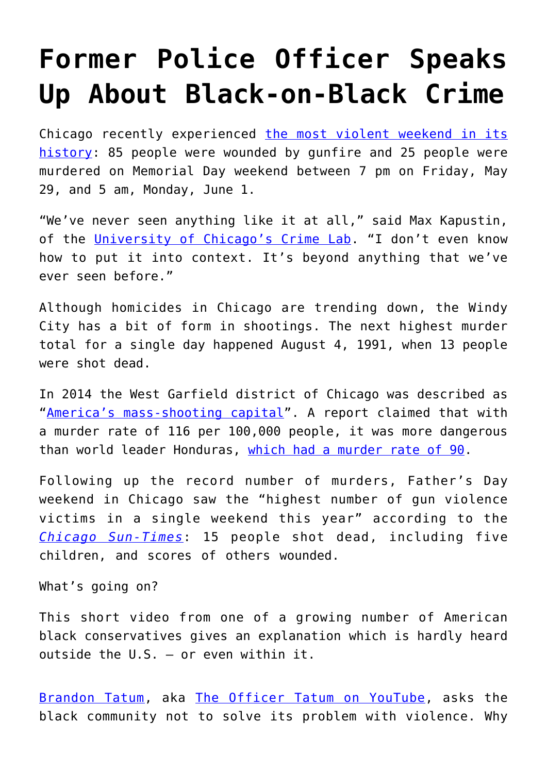## **[Former Police Officer Speaks](https://intellectualtakeout.org/2020/06/former-police-officer-speaks-up-about-black-on-black-crime/) [Up About Black-on-Black Crime](https://intellectualtakeout.org/2020/06/former-police-officer-speaks-up-about-black-on-black-crime/)**

Chicago recently experienced [the most violent weekend in its](https://chicago.suntimes.com/crime/2020/6/8/21281998/chicago-deadliest-day-violence-murder-history-police-crime) [history:](https://chicago.suntimes.com/crime/2020/6/8/21281998/chicago-deadliest-day-violence-murder-history-police-crime) 85 people were wounded by gunfire and 25 people were murdered on Memorial Day weekend between 7 pm on Friday, May 29, and 5 am, Monday, June 1.

"We've never seen anything like it at all," said Max Kapustin, of the [University of Chicago's Crime Lab](https://urbanlabs.uchicago.edu/labs/crime). "I don't even know how to put it into context. It's beyond anything that we've ever seen before."

Although homicides in Chicago are trending down, the Windy City has a bit of form in shootings. The next highest murder total for a single day happened August 4, 1991, when 13 people were shot dead.

In 2014 the West Garfield district of Chicago was described as "[America's mass-shooting capital](https://www.nbcchicago.com/news/national-international/new-report-declares-chicago-neighborhood-americas-mass-shooting-capital/91694/)". A report claimed that with a murder rate of 116 per 100,000 people, it was more dangerous than world leader Honduras, [which had a murder rate of 90.](https://edition.cnn.com/2014/04/10/world/un-world-murder-rates/index.html)

Following up the record number of murders, Father's Day weekend in Chicago saw the "highest number of gun violence victims in a single weekend this year" according to the *[Chicago Sun-Times](https://chicago.suntimes.com/crime/2020/6/20/21297470/chicago-fathers-day-weekend-shootings-homicide-gun-violence-june-19-22-104-shot)*: 15 people shot dead, including five children, and scores of others wounded.

What's going on?

This short video from one of a growing number of American black conservatives gives an explanation which is hardly heard outside the U.S. – or even within it.

[Brandon Tatum](https://theofficertatum.com/), aka [The Officer Tatum on YouTube](https://www.youtube.com/channel/UCaYw_yJ_YLPEv6zR2c7hgHA), asks the black community not to solve its problem with violence. Why